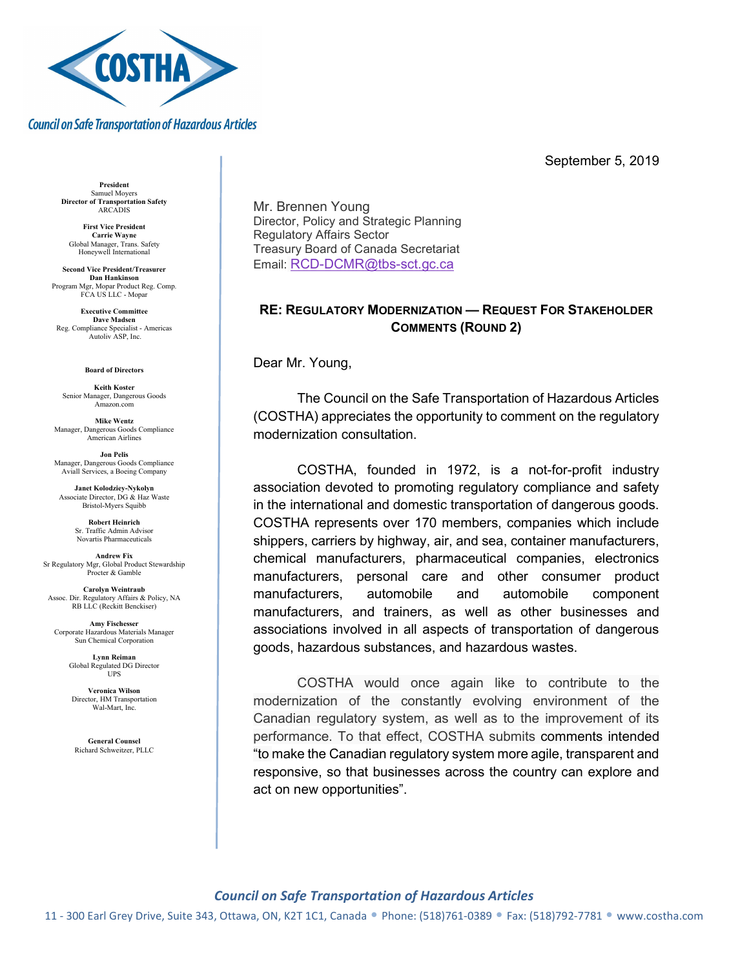

### **Council on Safe Transportation of Hazardous Articles**

September 5, 2019

President Samuel Moyers Director of Transportation Safety **ARCADIS** 

First Vice President Carrie Wayne Global Manager, Trans. Safety Honeywell International

Second Vice President/Treasurer Dan Hankinson Program Mgr, Mopar Product Reg. Comp. FCA US LLC - Mopar

Executive Committee Dave Madsen Reg. Compliance Specialist - Americas Autoliv ASP, Inc.

#### Board of Directors

Keith Koster Senior Manager, Dangerous Goods Amazon.com

Mike Wentz Manager, Dangerous Goods Compliance American Airlines

Jon Pelis Manager, Dangerous Goods Compliance Aviall Services, a Boeing Company

Janet Kolodziey-Nykolyn Associate Director, DG & Haz Waste Bristol-Myers Squibb

> Robert Heinrich Sr. Traffic Admin Advisor Novartis Pharmaceuticals

Andrew Fix Sr Regulatory Mgr, Global Product Stewardship Procter & Gamble

Carolyn Weintraub Assoc. Dir. Regulatory Affairs & Policy, NA RB LLC (Reckitt Benckiser)

Amy Fischesser Corporate Hazardous Materials Manager Sun Chemical Corporation

> Lynn Reiman Global Regulated DG Director UPS

Veronica Wilson Director, HM Transportation Wal-Mart, Inc.

General Counsel Richard Schweitzer, PLLC Mr. Brennen Young Director, Policy and Strategic Planning Regulatory Affairs Sector Treasury Board of Canada Secretariat Email: RCD-DCMR@tbs-sct.gc.ca

# RE: REGULATORY MODERNIZATION — REQUEST FOR STAKEHOLDER COMMENTS (ROUND 2)

Dear Mr. Young,

The Council on the Safe Transportation of Hazardous Articles (COSTHA) appreciates the opportunity to comment on the regulatory modernization consultation.

COSTHA, founded in 1972, is a not-for-profit industry association devoted to promoting regulatory compliance and safety in the international and domestic transportation of dangerous goods. COSTHA represents over 170 members, companies which include shippers, carriers by highway, air, and sea, container manufacturers, chemical manufacturers, pharmaceutical companies, electronics manufacturers, personal care and other consumer product manufacturers, automobile and automobile component manufacturers, and trainers, as well as other businesses and associations involved in all aspects of transportation of dangerous goods, hazardous substances, and hazardous wastes.

COSTHA would once again like to contribute to the modernization of the constantly evolving environment of the Canadian regulatory system, as well as to the improvement of its performance. To that effect, COSTHA submits comments intended "to make the Canadian regulatory system more agile, transparent and responsive, so that businesses across the country can explore and act on new opportunities".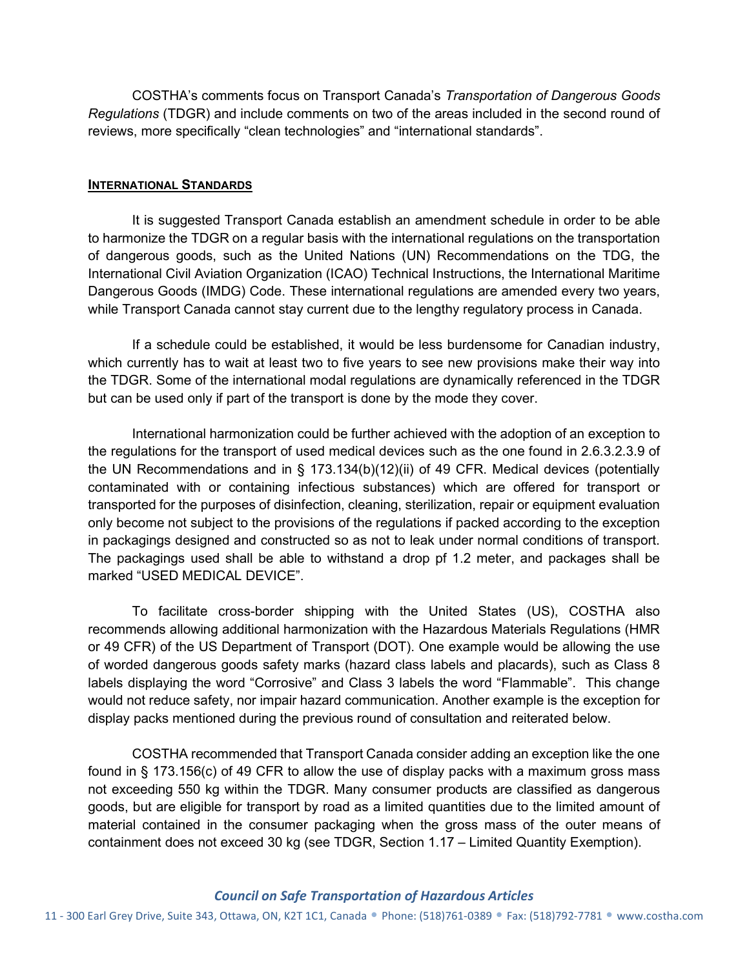COSTHA's comments focus on Transport Canada's Transportation of Dangerous Goods Regulations (TDGR) and include comments on two of the areas included in the second round of reviews, more specifically "clean technologies" and "international standards".

## INTERNATIONAL STANDARDS

It is suggested Transport Canada establish an amendment schedule in order to be able to harmonize the TDGR on a regular basis with the international regulations on the transportation of dangerous goods, such as the United Nations (UN) Recommendations on the TDG, the International Civil Aviation Organization (ICAO) Technical Instructions, the International Maritime Dangerous Goods (IMDG) Code. These international regulations are amended every two years, while Transport Canada cannot stay current due to the lengthy regulatory process in Canada.

If a schedule could be established, it would be less burdensome for Canadian industry, which currently has to wait at least two to five years to see new provisions make their way into the TDGR. Some of the international modal regulations are dynamically referenced in the TDGR but can be used only if part of the transport is done by the mode they cover.

International harmonization could be further achieved with the adoption of an exception to the regulations for the transport of used medical devices such as the one found in 2.6.3.2.3.9 of the UN Recommendations and in § 173.134(b)(12)(ii) of 49 CFR. Medical devices (potentially contaminated with or containing infectious substances) which are offered for transport or transported for the purposes of disinfection, cleaning, sterilization, repair or equipment evaluation only become not subject to the provisions of the regulations if packed according to the exception in packagings designed and constructed so as not to leak under normal conditions of transport. The packagings used shall be able to withstand a drop pf 1.2 meter, and packages shall be marked "USED MEDICAL DEVICE".

To facilitate cross-border shipping with the United States (US), COSTHA also recommends allowing additional harmonization with the Hazardous Materials Regulations (HMR or 49 CFR) of the US Department of Transport (DOT). One example would be allowing the use of worded dangerous goods safety marks (hazard class labels and placards), such as Class 8 labels displaying the word "Corrosive" and Class 3 labels the word "Flammable". This change would not reduce safety, nor impair hazard communication. Another example is the exception for display packs mentioned during the previous round of consultation and reiterated below.

COSTHA recommended that Transport Canada consider adding an exception like the one found in § 173.156(c) of 49 CFR to allow the use of display packs with a maximum gross mass not exceeding 550 kg within the TDGR. Many consumer products are classified as dangerous goods, but are eligible for transport by road as a limited quantities due to the limited amount of material contained in the consumer packaging when the gross mass of the outer means of containment does not exceed 30 kg (see TDGR, Section 1.17 – Limited Quantity Exemption).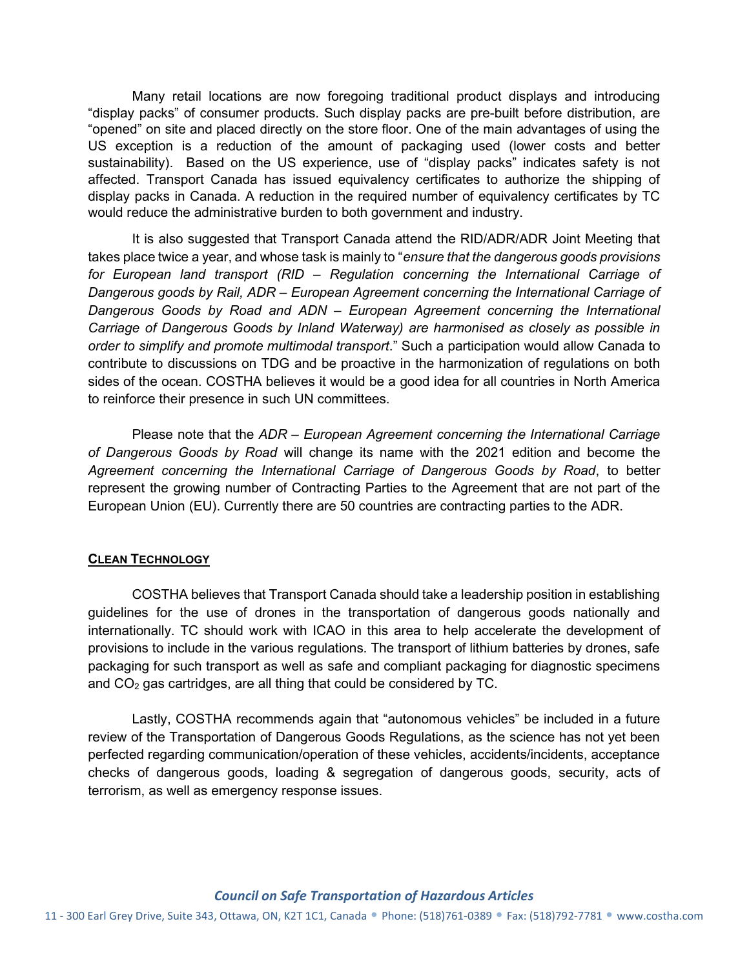Many retail locations are now foregoing traditional product displays and introducing "display packs" of consumer products. Such display packs are pre-built before distribution, are "opened" on site and placed directly on the store floor. One of the main advantages of using the US exception is a reduction of the amount of packaging used (lower costs and better sustainability). Based on the US experience, use of "display packs" indicates safety is not affected. Transport Canada has issued equivalency certificates to authorize the shipping of display packs in Canada. A reduction in the required number of equivalency certificates by TC would reduce the administrative burden to both government and industry.

It is also suggested that Transport Canada attend the RID/ADR/ADR Joint Meeting that takes place twice a year, and whose task is mainly to "ensure that the dangerous goods provisions" for European land transport (RID – Regulation concerning the International Carriage of Dangerous goods by Rail, ADR – European Agreement concerning the International Carriage of Dangerous Goods by Road and ADN – European Agreement concerning the International Carriage of Dangerous Goods by Inland Waterway) are harmonised as closely as possible in order to simplify and promote multimodal transport." Such a participation would allow Canada to contribute to discussions on TDG and be proactive in the harmonization of regulations on both sides of the ocean. COSTHA believes it would be a good idea for all countries in North America to reinforce their presence in such UN committees.

Please note that the ADR – European Agreement concerning the International Carriage of Dangerous Goods by Road will change its name with the 2021 edition and become the Agreement concerning the International Carriage of Dangerous Goods by Road, to better represent the growing number of Contracting Parties to the Agreement that are not part of the European Union (EU). Currently there are 50 countries are contracting parties to the ADR.

## **CLEAN TECHNOLOGY**

COSTHA believes that Transport Canada should take a leadership position in establishing guidelines for the use of drones in the transportation of dangerous goods nationally and internationally. TC should work with ICAO in this area to help accelerate the development of provisions to include in the various regulations. The transport of lithium batteries by drones, safe packaging for such transport as well as safe and compliant packaging for diagnostic specimens and  $CO<sub>2</sub>$  gas cartridges, are all thing that could be considered by TC.

Lastly, COSTHA recommends again that "autonomous vehicles" be included in a future review of the Transportation of Dangerous Goods Regulations, as the science has not yet been perfected regarding communication/operation of these vehicles, accidents/incidents, acceptance checks of dangerous goods, loading & segregation of dangerous goods, security, acts of terrorism, as well as emergency response issues.